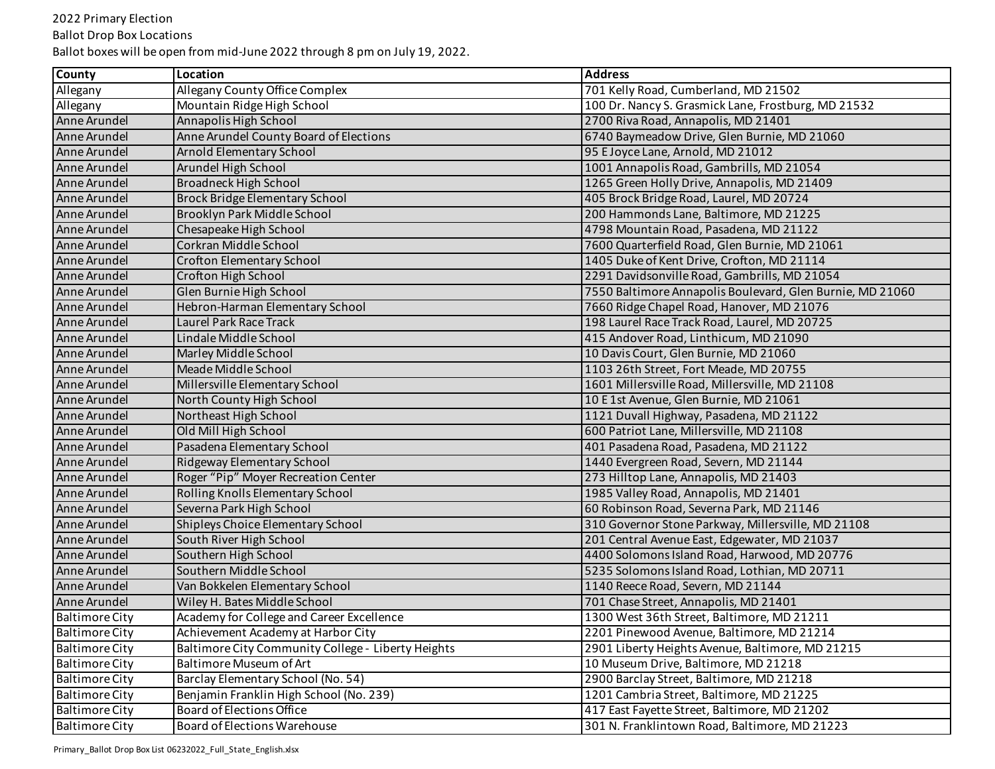Ballot Drop Box Locations

| <b>County</b>         | Location                                           | <b>Address</b>                                            |
|-----------------------|----------------------------------------------------|-----------------------------------------------------------|
| Allegany              | Allegany County Office Complex                     | 701 Kelly Road, Cumberland, MD 21502                      |
| Allegany              | Mountain Ridge High School                         | 100 Dr. Nancy S. Grasmick Lane, Frostburg, MD 21532       |
| Anne Arundel          | Annapolis High School                              | 2700 Riva Road, Annapolis, MD 21401                       |
| Anne Arundel          | Anne Arundel County Board of Elections             | 6740 Baymeadow Drive, Glen Burnie, MD 21060               |
| Anne Arundel          | Arnold Elementary School                           | 95 E Joyce Lane, Arnold, MD 21012                         |
| Anne Arundel          | Arundel High School                                | 1001 Annapolis Road, Gambrills, MD 21054                  |
| Anne Arundel          | Broadneck High School                              | 1265 Green Holly Drive, Annapolis, MD 21409               |
| Anne Arundel          | Brock Bridge Elementary School                     | 405 Brock Bridge Road, Laurel, MD 20724                   |
| Anne Arundel          | Brooklyn Park Middle School                        | 200 Hammonds Lane, Baltimore, MD 21225                    |
| Anne Arundel          | Chesapeake High School                             | 4798 Mountain Road, Pasadena, MD 21122                    |
| Anne Arundel          | Corkran Middle School                              | 7600 Quarterfield Road, Glen Burnie, MD 21061             |
| Anne Arundel          | Crofton Elementary School                          | 1405 Duke of Kent Drive, Crofton, MD 21114                |
| Anne Arundel          | Crofton High School                                | 2291 Davidsonville Road, Gambrills, MD 21054              |
| Anne Arundel          | Glen Burnie High School                            | 7550 Baltimore Annapolis Boulevard, Glen Burnie, MD 21060 |
| Anne Arundel          | Hebron-Harman Elementary School                    | 7660 Ridge Chapel Road, Hanover, MD 21076                 |
| Anne Arundel          | <b>Laurel Park Race Track</b>                      | 198 Laurel Race Track Road, Laurel, MD 20725              |
| Anne Arundel          | Lindale Middle School                              | 415 Andover Road, Linthicum, MD 21090                     |
| Anne Arundel          | Marley Middle School                               | 10 Davis Court, Glen Burnie, MD 21060                     |
| Anne Arundel          | Meade Middle School                                | 1103 26th Street, Fort Meade, MD 20755                    |
| Anne Arundel          | Millersville Elementary School                     | 1601 Millersville Road, Millersville, MD 21108            |
| Anne Arundel          | North County High School                           | 10 E 1st Avenue, Glen Burnie, MD 21061                    |
| Anne Arundel          | Northeast High School                              | 1121 Duvall Highway, Pasadena, MD 21122                   |
| Anne Arundel          | Old Mill High School                               | 600 Patriot Lane, Millersville, MD 21108                  |
| Anne Arundel          | Pasadena Elementary School                         | 401 Pasadena Road, Pasadena, MD 21122                     |
| Anne Arundel          | Ridgeway Elementary School                         | 1440 Evergreen Road, Severn, MD 21144                     |
| Anne Arundel          | Roger "Pip" Moyer Recreation Center                | 273 Hilltop Lane, Annapolis, MD 21403                     |
| Anne Arundel          | Rolling Knolls Elementary School                   | 1985 Valley Road, Annapolis, MD 21401                     |
| Anne Arundel          | Severna Park High School                           | 60 Robinson Road, Severna Park, MD 21146                  |
| Anne Arundel          | Shipleys Choice Elementary School                  | 310 Governor Stone Parkway, Millersville, MD 21108        |
| Anne Arundel          | South River High School                            | 201 Central Avenue East, Edgewater, MD 21037              |
| Anne Arundel          | Southern High School                               | 4400 Solomons Island Road, Harwood, MD 20776              |
| Anne Arundel          | Southern Middle School                             | 5235 Solomons Island Road, Lothian, MD 20711              |
| Anne Arundel          | Van Bokkelen Elementary School                     | 1140 Reece Road, Severn, MD 21144                         |
| Anne Arundel          | Wiley H. Bates Middle School                       | 701 Chase Street, Annapolis, MD 21401                     |
| <b>Baltimore City</b> | Academy for College and Career Excellence          | 1300 West 36th Street, Baltimore, MD 21211                |
| <b>Baltimore City</b> | Achievement Academy at Harbor City                 | 2201 Pinewood Avenue, Baltimore, MD 21214                 |
| <b>Baltimore City</b> | Baltimore City Community College - Liberty Heights | 2901 Liberty Heights Avenue, Baltimore, MD 21215          |
| <b>Baltimore City</b> | Baltimore Museum of Art                            | 10 Museum Drive, Baltimore, MD 21218                      |
| <b>Baltimore City</b> | Barclay Elementary School (No. 54)                 | 2900 Barclay Street, Baltimore, MD 21218                  |
| <b>Baltimore City</b> | Benjamin Franklin High School (No. 239)            | 1201 Cambria Street, Baltimore, MD 21225                  |
| <b>Baltimore City</b> | <b>Board of Elections Office</b>                   | 417 East Fayette Street, Baltimore, MD 21202              |
| <b>Baltimore City</b> | Board of Elections Warehouse                       | 301 N. Franklintown Road, Baltimore, MD 21223             |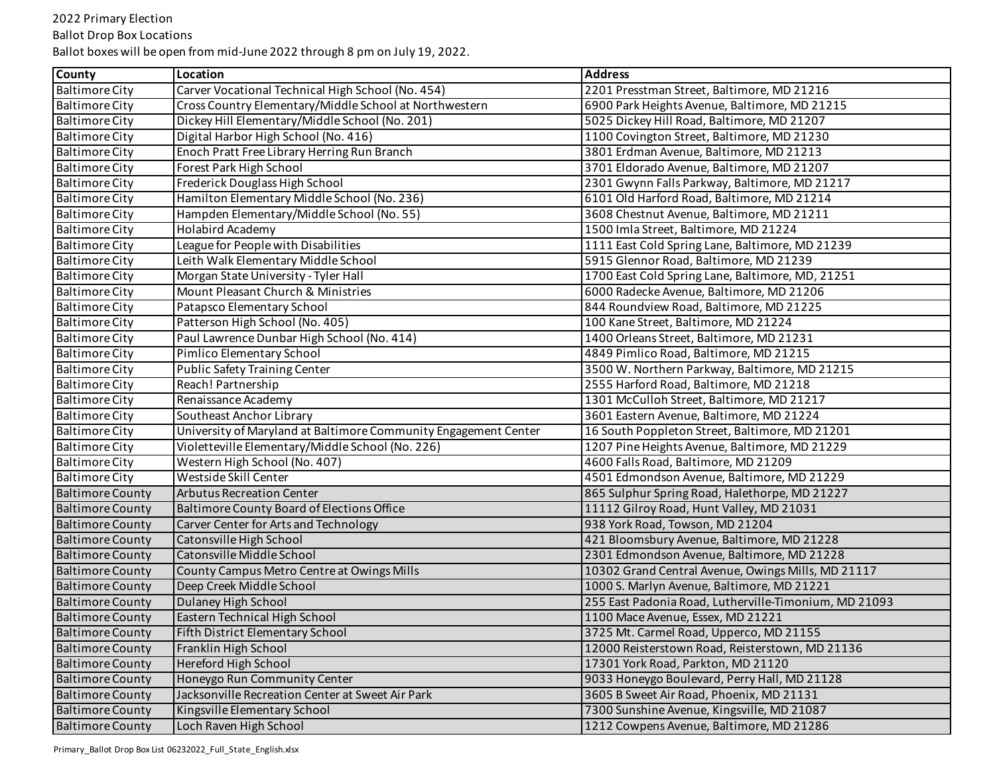# Ballot Drop Box Locations

| <b>County</b>           | Location                                                        | <b>Address</b>                                        |
|-------------------------|-----------------------------------------------------------------|-------------------------------------------------------|
| <b>Baltimore City</b>   | Carver Vocational Technical High School (No. 454)               | 2201 Presstman Street, Baltimore, MD 21216            |
| <b>Baltimore City</b>   | Cross Country Elementary/Middle School at Northwestern          | 6900 Park Heights Avenue, Baltimore, MD 21215         |
| <b>Baltimore City</b>   | Dickey Hill Elementary/Middle School (No. 201)                  | 5025 Dickey Hill Road, Baltimore, MD 21207            |
| <b>Baltimore City</b>   | Digital Harbor High School (No. 416)                            | 1100 Covington Street, Baltimore, MD 21230            |
| <b>Baltimore City</b>   | Enoch Pratt Free Library Herring Run Branch                     | 3801 Erdman Avenue, Baltimore, MD 21213               |
| <b>Baltimore City</b>   | Forest Park High School                                         | 3701 Eldorado Avenue, Baltimore, MD 21207             |
| Baltimore City          | Frederick Douglass High School                                  | 2301 Gwynn Falls Parkway, Baltimore, MD 21217         |
| <b>Baltimore City</b>   | Hamilton Elementary Middle School (No. 236)                     | 6101 Old Harford Road, Baltimore, MD 21214            |
| <b>Baltimore City</b>   | Hampden Elementary/Middle School (No. 55)                       | 3608 Chestnut Avenue, Baltimore, MD 21211             |
| <b>Baltimore City</b>   | Holabird Academy                                                | 1500 Imla Street, Baltimore, MD 21224                 |
| <b>Baltimore City</b>   | League for People with Disabilities                             | 1111 East Cold Spring Lane, Baltimore, MD 21239       |
| <b>Baltimore City</b>   | Leith Walk Elementary Middle School                             | 5915 Glennor Road, Baltimore, MD 21239                |
| <b>Baltimore City</b>   | Morgan State University - Tyler Hall                            | 1700 East Cold Spring Lane, Baltimore, MD, 21251      |
| <b>Baltimore City</b>   | Mount Pleasant Church & Ministries                              | 6000 Radecke Avenue, Baltimore, MD 21206              |
| <b>Baltimore City</b>   | Patapsco Elementary School                                      | 844 Roundview Road, Baltimore, MD 21225               |
| <b>Baltimore City</b>   | Patterson High School (No. 405)                                 | 100 Kane Street, Baltimore, MD 21224                  |
| <b>Baltimore City</b>   | Paul Lawrence Dunbar High School (No. 414)                      | 1400 Orleans Street, Baltimore, MD 21231              |
| <b>Baltimore City</b>   | Pimlico Elementary School                                       | 4849 Pimlico Road, Baltimore, MD 21215                |
| <b>Baltimore City</b>   | <b>Public Safety Training Center</b>                            | 3500 W. Northern Parkway, Baltimore, MD 21215         |
| <b>Baltimore City</b>   | Reach! Partnership                                              | 2555 Harford Road, Baltimore, MD 21218                |
| <b>Baltimore City</b>   | Renaissance Academy                                             | 1301 McCulloh Street, Baltimore, MD 21217             |
| <b>Baltimore City</b>   | Southeast Anchor Library                                        | 3601 Eastern Avenue, Baltimore, MD 21224              |
| <b>Baltimore City</b>   | University of Maryland at Baltimore Community Engagement Center | 16 South Poppleton Street, Baltimore, MD 21201        |
| <b>Baltimore City</b>   | Violetteville Elementary/Middle School (No. 226)                | 1207 Pine Heights Avenue, Baltimore, MD 21229         |
| <b>Baltimore City</b>   | Western High School (No. 407)                                   | 4600 Falls Road, Baltimore, MD 21209                  |
| <b>Baltimore City</b>   | Westside Skill Center                                           | 4501 Edmondson Avenue, Baltimore, MD 21229            |
| <b>Baltimore County</b> | <b>Arbutus Recreation Center</b>                                | 865 Sulphur Spring Road, Halethorpe, MD 21227         |
| <b>Baltimore County</b> | Baltimore County Board of Elections Office                      | 11112 Gilroy Road, Hunt Valley, MD 21031              |
| <b>Baltimore County</b> | Carver Center for Arts and Technology                           | 938 York Road, Towson, MD 21204                       |
| <b>Baltimore County</b> | Catonsville High School                                         | 421 Bloomsbury Avenue, Baltimore, MD 21228            |
| <b>Baltimore County</b> | Catonsville Middle School                                       | 2301 Edmondson Avenue, Baltimore, MD 21228            |
| <b>Baltimore County</b> | County Campus Metro Centre at Owings Mills                      | 10302 Grand Central Avenue, Owings Mills, MD 21117    |
| <b>Baltimore County</b> | Deep Creek Middle School                                        | 1000 S. Marlyn Avenue, Baltimore, MD 21221            |
| <b>Baltimore County</b> | Dulaney High School                                             | 255 East Padonia Road, Lutherville-Timonium, MD 21093 |
| <b>Baltimore County</b> | Eastern Technical High School                                   | 1100 Mace Avenue, Essex, MD 21221                     |
| Baltimore County        | Fifth District Elementary School                                | 3725 Mt. Carmel Road, Upperco, MD 21155               |
| <b>Baltimore County</b> | Franklin High School                                            | 12000 Reisterstown Road, Reisterstown, MD 21136       |
| <b>Baltimore County</b> | Hereford High School                                            | 17301 York Road, Parkton, MD 21120                    |
| <b>Baltimore County</b> | Honeygo Run Community Center                                    | 9033 Honeygo Boulevard, Perry Hall, MD 21128          |
| <b>Baltimore County</b> | Jacksonville Recreation Center at Sweet Air Park                | 3605 B Sweet Air Road, Phoenix, MD 21131              |
| <b>Baltimore County</b> | Kingsville Elementary School                                    | 7300 Sunshine Avenue, Kingsville, MD 21087            |
| <b>Baltimore County</b> | Loch Raven High School                                          | 1212 Cowpens Avenue, Baltimore, MD 21286              |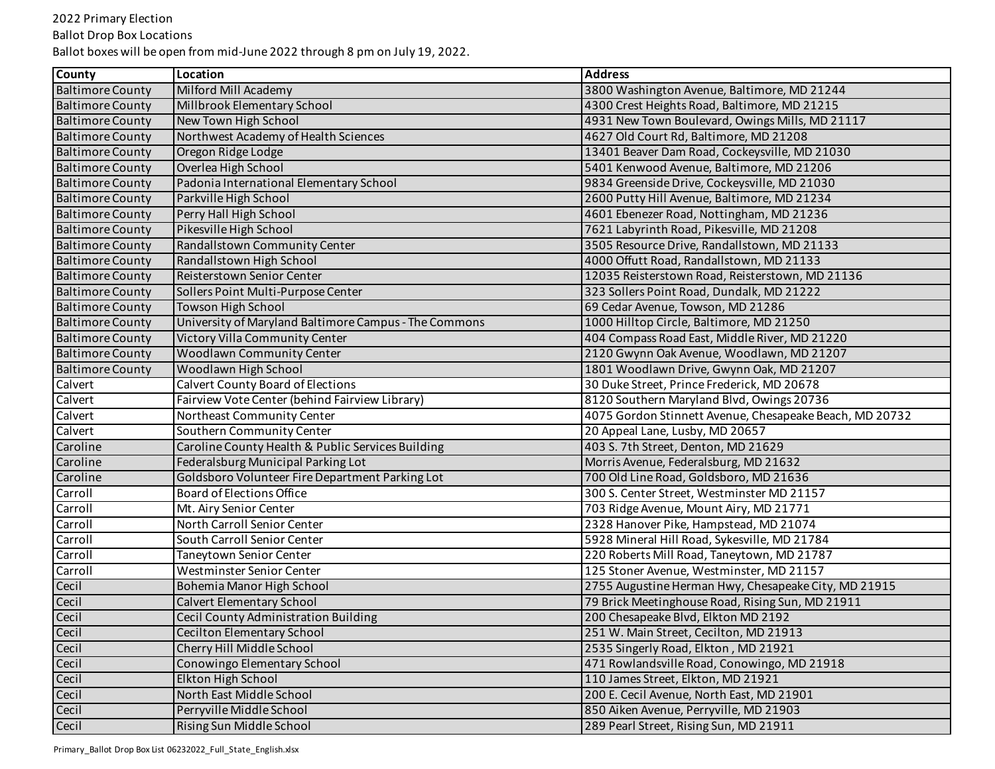Ballot Drop Box Locations

| <b>County</b>           | Location                                              | <b>Address</b>                                          |
|-------------------------|-------------------------------------------------------|---------------------------------------------------------|
| <b>Baltimore County</b> | Milford Mill Academy                                  | 3800 Washington Avenue, Baltimore, MD 21244             |
| <b>Baltimore County</b> | <b>Millbrook Elementary School</b>                    | 4300 Crest Heights Road, Baltimore, MD 21215            |
| <b>Baltimore County</b> | New Town High School                                  | 4931 New Town Boulevard, Owings Mills, MD 21117         |
| <b>Baltimore County</b> | Northwest Academy of Health Sciences                  | 4627 Old Court Rd, Baltimore, MD 21208                  |
| <b>Baltimore County</b> | Oregon Ridge Lodge                                    | 13401 Beaver Dam Road, Cockeysville, MD 21030           |
| <b>Baltimore County</b> | Overlea High School                                   | 5401 Kenwood Avenue, Baltimore, MD 21206                |
| <b>Baltimore County</b> | Padonia International Elementary School               | 9834 Greenside Drive, Cockeysville, MD 21030            |
| <b>Baltimore County</b> | Parkville High School                                 | 2600 Putty Hill Avenue, Baltimore, MD 21234             |
| <b>Baltimore County</b> | Perry Hall High School                                | 4601 Ebenezer Road, Nottingham, MD 21236                |
| <b>Baltimore County</b> | Pikesville High School                                | 7621 Labyrinth Road, Pikesville, MD 21208               |
| <b>Baltimore County</b> | Randallstown Community Center                         | 3505 Resource Drive, Randallstown, MD 21133             |
| <b>Baltimore County</b> | Randallstown High School                              | 4000 Offutt Road, Randallstown, MD 21133                |
| <b>Baltimore County</b> | Reisterstown Senior Center                            | 12035 Reisterstown Road, Reisterstown, MD 21136         |
| <b>Baltimore County</b> | Sollers Point Multi-Purpose Center                    | 323 Sollers Point Road, Dundalk, MD 21222               |
| <b>Baltimore County</b> | Towson High School                                    | 69 Cedar Avenue, Towson, MD 21286                       |
| <b>Baltimore County</b> | University of Maryland Baltimore Campus - The Commons | 1000 Hilltop Circle, Baltimore, MD 21250                |
| <b>Baltimore County</b> | Victory Villa Community Center                        | 404 Compass Road East, Middle River, MD 21220           |
| <b>Baltimore County</b> | <b>Woodlawn Community Center</b>                      | 2120 Gwynn Oak Avenue, Woodlawn, MD 21207               |
| <b>Baltimore County</b> | Woodlawn High School                                  | 1801 Woodlawn Drive, Gwynn Oak, MD 21207                |
| Calvert                 | Calvert County Board of Elections                     | 30 Duke Street, Prince Frederick, MD 20678              |
| Calvert                 | Fairview Vote Center (behind Fairview Library)        | 8120 Southern Maryland Blvd, Owings 20736               |
| Calvert                 | Northeast Community Center                            | 4075 Gordon Stinnett Avenue, Chesapeake Beach, MD 20732 |
| Calvert                 | Southern Community Center                             | 20 Appeal Lane, Lusby, MD 20657                         |
| Caroline                | Caroline County Health & Public Services Building     | 403 S. 7th Street, Denton, MD 21629                     |
| Caroline                | Federalsburg Municipal Parking Lot                    | Morris Avenue, Federalsburg, MD 21632                   |
| Caroline                | Goldsboro Volunteer Fire Department Parking Lot       | 700 Old Line Road, Goldsboro, MD 21636                  |
| Carroll                 | Board of Elections Office                             | 300 S. Center Street, Westminster MD 21157              |
| Carroll                 | Mt. Airy Senior Center                                | 703 Ridge Avenue, Mount Airy, MD 21771                  |
| Carroll                 | North Carroll Senior Center                           | 2328 Hanover Pike, Hampstead, MD 21074                  |
| Carroll                 | South Carroll Senior Center                           | 5928 Mineral Hill Road, Sykesville, MD 21784            |
| Carroll                 | <b>Taneytown Senior Center</b>                        | 220 Roberts Mill Road, Taneytown, MD 21787              |
| Carroll                 | Westminster Senior Center                             | 125 Stoner Avenue, Westminster, MD 21157                |
| Cecil                   | Bohemia Manor High School                             | 2755 Augustine Herman Hwy, Chesapeake City, MD 21915    |
| Cecil                   | Calvert Elementary School                             | 79 Brick Meetinghouse Road, Rising Sun, MD 21911        |
| Cecil                   | Cecil County Administration Building                  | 200 Chesapeake Blvd, Elkton MD 2192                     |
| Cecil                   | <b>Cecilton Elementary School</b>                     | 251 W. Main Street, Cecilton, MD 21913                  |
| Cecil                   | Cherry Hill Middle School                             | 2535 Singerly Road, Elkton, MD 21921                    |
| Cecil                   | Conowingo Elementary School                           | 471 Rowlandsville Road, Conowingo, MD 21918             |
| Cecil                   | Elkton High School                                    | 110 James Street, Elkton, MD 21921                      |
| Cecil                   | North East Middle School                              | 200 E. Cecil Avenue, North East, MD 21901               |
| Cecil                   | Perryville Middle School                              | 850 Aiken Avenue, Perryville, MD 21903                  |
| Cecil                   | Rising Sun Middle School                              | 289 Pearl Street, Rising Sun, MD 21911                  |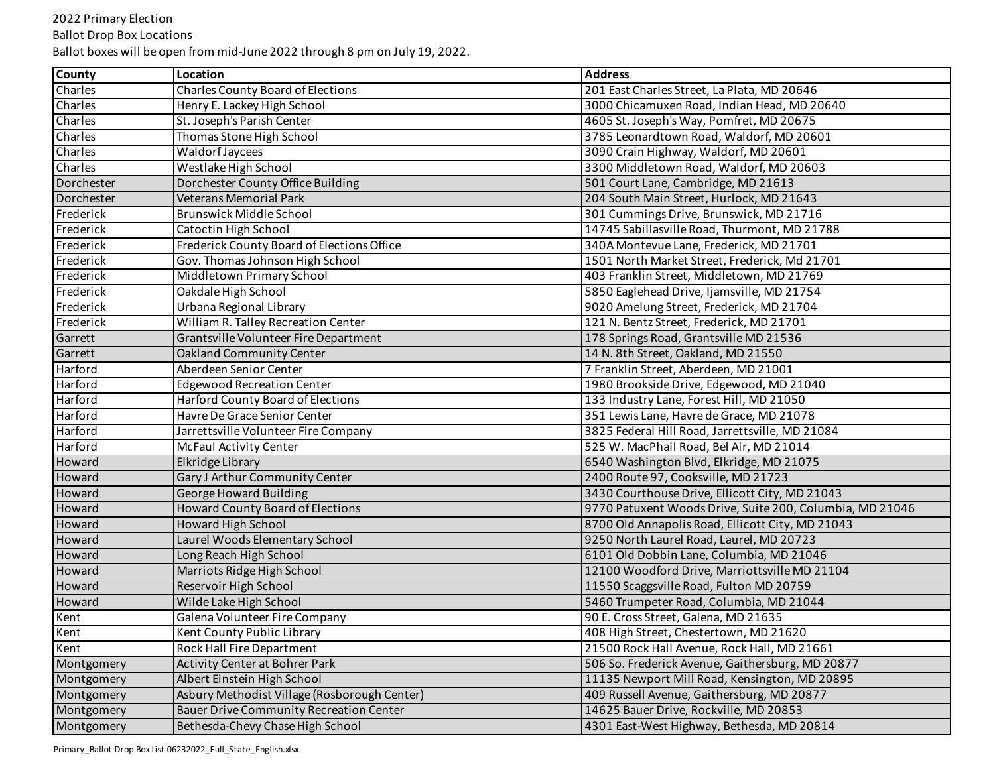Ballot Drop Box Locations

| <b>County</b> | Location                                       | <b>Address</b>                                           |
|---------------|------------------------------------------------|----------------------------------------------------------|
| Charles       | Charles County Board of Elections              | 201 East Charles Street, La Plata, MD 20646              |
| Charles       | Henry E. Lackey High School                    | 3000 Chicamuxen Road, Indian Head, MD 20640              |
| Charles       | St. Joseph's Parish Center                     | 4605 St. Joseph's Way, Pomfret, MD 20675                 |
| Charles       | Thomas Stone High School                       | 3785 Leonardtown Road, Waldorf, MD 20601                 |
| Charles       | Waldorf Jaycees                                | 3090 Crain Highway, Waldorf, MD 20601                    |
| Charles       | Westlake High School                           | 3300 Middletown Road, Waldorf, MD 20603                  |
| Dorchester    | Dorchester County Office Building              | 501 Court Lane, Cambridge, MD 21613                      |
| Dorchester    | Veterans Memorial Park                         | 204 South Main Street, Hurlock, MD 21643                 |
| Frederick     | <b>Brunswick Middle School</b>                 | 301 Cummings Drive, Brunswick, MD 21716                  |
| Frederick     | Catoctin High School                           | 14745 Sabillasville Road, Thurmont, MD 21788             |
| Frederick     | Frederick County Board of Elections Office     | 340A Montevue Lane, Frederick, MD 21701                  |
| Frederick     | Gov. Thomas Johnson High School                | 1501 North Market Street, Frederick, Md 21701            |
| Frederick     | Middletown Primary School                      | 403 Franklin Street, Middletown, MD 21769                |
| Frederick     | Oakdale High School                            | 5850 Eaglehead Drive, Ijamsville, MD 21754               |
| Frederick     | Urbana Regional Library                        | 9020 Amelung Street, Frederick, MD 21704                 |
| Frederick     | William R. Talley Recreation Center            | 121 N. Bentz Street, Frederick, MD 21701                 |
| Garrett       | Grantsville Volunteer Fire Department          | 178 Springs Road, Grantsville MD 21536                   |
| Garrett       | Oakland Community Center                       | 14 N. 8th Street, Oakland, MD 21550                      |
| Harford       | Aberdeen Senior Center                         | 7 Franklin Street, Aberdeen, MD 21001                    |
| Harford       | <b>Edgewood Recreation Center</b>              | 1980 Brookside Drive, Edgewood, MD 21040                 |
| Harford       | Harford County Board of Elections              | 133 Industry Lane, Forest Hill, MD 21050                 |
| Harford       | Havre De Grace Senior Center                   | 351 Lewis Lane, Havre de Grace, MD 21078                 |
| Harford       | Jarrettsville Volunteer Fire Company           | 3825 Federal Hill Road, Jarrettsville, MD 21084          |
| Harford       | <b>McFaul Activity Center</b>                  | 525 W. MacPhail Road, Bel Air, MD 21014                  |
| Howard        | Elkridge Library                               | 6540 Washington Blvd, Elkridge, MD 21075                 |
| Howard        | Gary J Arthur Community Center                 | 2400 Route 97, Cooksville, MD 21723                      |
| Howard        | George Howard Building                         | 3430 Courthouse Drive, Ellicott City, MD 21043           |
| Howard        | <b>Howard County Board of Elections</b>        | 9770 Patuxent Woods Drive, Suite 200, Columbia, MD 21046 |
| Howard        | <b>Howard High School</b>                      | 8700 Old Annapolis Road, Ellicott City, MD 21043         |
| Howard        | Laurel Woods Elementary School                 | 9250 North Laurel Road, Laurel, MD 20723                 |
| Howard        | Long Reach High School                         | 6101 Old Dobbin Lane, Columbia, MD 21046                 |
| Howard        | Marriots Ridge High School                     | 12100 Woodford Drive, Marriottsville MD 21104            |
| <b>Howard</b> | Reservoir High School                          | 11550 Scaggsville Road, Fulton MD 20759                  |
| Howard        | Wilde Lake High School                         | 5460 Trumpeter Road, Columbia, MD 21044                  |
| Kent          | Galena Volunteer Fire Company                  | 90 E. Cross Street, Galena, MD 21635                     |
| Kent          | Kent County Public Library                     | 408 High Street, Chestertown, MD 21620                   |
| Kent          | Rock Hall Fire Department                      | 21500 Rock Hall Avenue, Rock Hall, MD 21661              |
| Montgomery    | Activity Center at Bohrer Park                 | 506 So. Frederick Avenue, Gaithersburg, MD 20877         |
| Montgomery    | Albert Einstein High School                    | 11135 Newport Mill Road, Kensington, MD 20895            |
| Montgomery    | Asbury Methodist Village (Rosborough Center)   | 409 Russell Avenue, Gaithersburg, MD 20877               |
| Montgomery    | <b>Bauer Drive Community Recreation Center</b> | 14625 Bauer Drive, Rockville, MD 20853                   |
| Montgomery    | Bethesda-Chevy Chase High School               | 4301 East-West Highway, Bethesda, MD 20814               |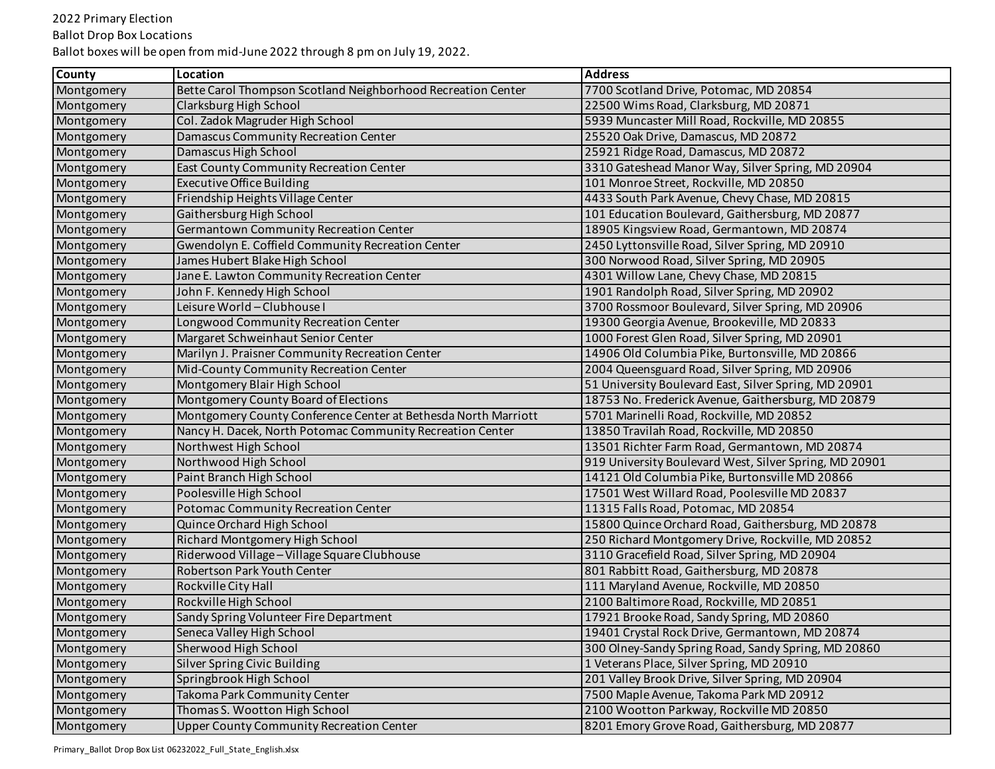Ballot Drop Box Locations

| County     | Location                                                       | <b>Address</b>                                         |
|------------|----------------------------------------------------------------|--------------------------------------------------------|
| Montgomery | Bette Carol Thompson Scotland Neighborhood Recreation Center   | 7700 Scotland Drive, Potomac, MD 20854                 |
| Montgomery | Clarksburg High School                                         | 22500 Wims Road, Clarksburg, MD 20871                  |
| Montgomery | Col. Zadok Magruder High School                                | 5939 Muncaster Mill Road, Rockville, MD 20855          |
| Montgomery | Damascus Community Recreation Center                           | 25520 Oak Drive, Damascus, MD 20872                    |
| Montgomery | Damascus High School                                           | 25921 Ridge Road, Damascus, MD 20872                   |
| Montgomery | East County Community Recreation Center                        | 3310 Gateshead Manor Way, Silver Spring, MD 20904      |
| Montgomery | <b>Executive Office Building</b>                               | 101 Monroe Street, Rockville, MD 20850                 |
| Montgomery | Friendship Heights Village Center                              | 4433 South Park Avenue, Chevy Chase, MD 20815          |
| Montgomery | Gaithersburg High School                                       | 101 Education Boulevard, Gaithersburg, MD 20877        |
| Montgomery | Germantown Community Recreation Center                         | 18905 Kingsview Road, Germantown, MD 20874             |
| Montgomery | Gwendolyn E. Coffield Community Recreation Center              | 2450 Lyttonsville Road, Silver Spring, MD 20910        |
| Montgomery | James Hubert Blake High School                                 | 300 Norwood Road, Silver Spring, MD 20905              |
| Montgomery | Jane E. Lawton Community Recreation Center                     | 4301 Willow Lane, Chevy Chase, MD 20815                |
| Montgomery | John F. Kennedy High School                                    | 1901 Randolph Road, Silver Spring, MD 20902            |
| Montgomery | Leisure World - Clubhouse I                                    | 3700 Rossmoor Boulevard, Silver Spring, MD 20906       |
| Montgomery | Longwood Community Recreation Center                           | 19300 Georgia Avenue, Brookeville, MD 20833            |
| Montgomery | Margaret Schweinhaut Senior Center                             | 1000 Forest Glen Road, Silver Spring, MD 20901         |
| Montgomery | Marilyn J. Praisner Community Recreation Center                | 14906 Old Columbia Pike, Burtonsville, MD 20866        |
| Montgomery | Mid-County Community Recreation Center                         | 2004 Queensguard Road, Silver Spring, MD 20906         |
| Montgomery | Montgomery Blair High School                                   | 51 University Boulevard East, Silver Spring, MD 20901  |
| Montgomery | Montgomery County Board of Elections                           | 18753 No. Frederick Avenue, Gaithersburg, MD 20879     |
| Montgomery | Montgomery County Conference Center at Bethesda North Marriott | 5701 Marinelli Road, Rockville, MD 20852               |
| Montgomery | Nancy H. Dacek, North Potomac Community Recreation Center      | 13850 Travilah Road, Rockville, MD 20850               |
| Montgomery | Northwest High School                                          | 13501 Richter Farm Road, Germantown, MD 20874          |
| Montgomery | Northwood High School                                          | 919 University Boulevard West, Silver Spring, MD 20901 |
| Montgomery | Paint Branch High School                                       | 14121 Old Columbia Pike, Burtonsville MD 20866         |
| Montgomery | Poolesville High School                                        | 17501 West Willard Road, Poolesville MD 20837          |
| Montgomery | Potomac Community Recreation Center                            | 11315 Falls Road, Potomac, MD 20854                    |
| Montgomery | Quince Orchard High School                                     | 15800 Quince Orchard Road, Gaithersburg, MD 20878      |
| Montgomery | Richard Montgomery High School                                 | 250 Richard Montgomery Drive, Rockville, MD 20852      |
| Montgomery | Riderwood Village - Village Square Clubhouse                   | 3110 Gracefield Road, Silver Spring, MD 20904          |
| Montgomery | Robertson Park Youth Center                                    | 801 Rabbitt Road, Gaithersburg, MD 20878               |
| Montgomery | Rockville City Hall                                            | 111 Maryland Avenue, Rockville, MD 20850               |
| Montgomery | Rockville High School                                          | 2100 Baltimore Road, Rockville, MD 20851               |
| Montgomery | Sandy Spring Volunteer Fire Department                         | 17921 Brooke Road, Sandy Spring, MD 20860              |
| Montgomery | Seneca Valley High School                                      | 19401 Crystal Rock Drive, Germantown, MD 20874         |
| Montgomery | Sherwood High School                                           | 300 Olney-Sandy Spring Road, Sandy Spring, MD 20860    |
| Montgomery | <b>Silver Spring Civic Building</b>                            | 1 Veterans Place, Silver Spring, MD 20910              |
| Montgomery | Springbrook High School                                        | 201 Valley Brook Drive, Silver Spring, MD 20904        |
| Montgomery | Takoma Park Community Center                                   | 7500 Maple Avenue, Takoma Park MD 20912                |
| Montgomery | Thomas S. Wootton High School                                  | 2100 Wootton Parkway, Rockville MD 20850               |
| Montgomery | <b>Upper County Community Recreation Center</b>                | 8201 Emory Grove Road, Gaithersburg, MD 20877          |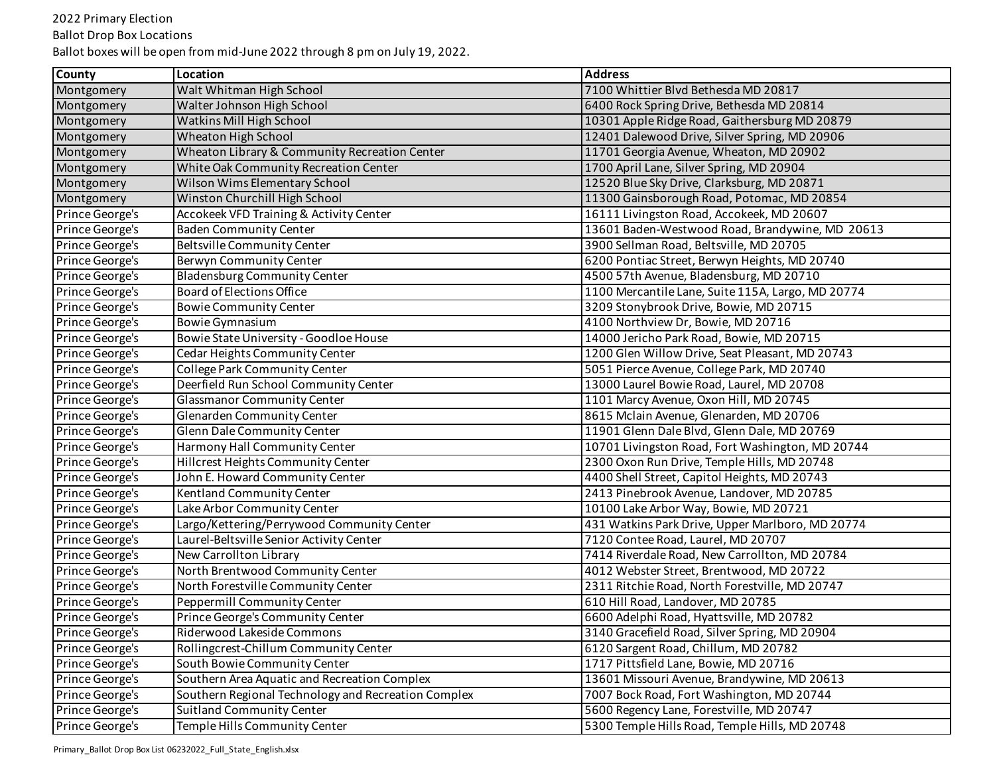Ballot Drop Box Locations

| <b>County</b>   | Location                                            | <b>Address</b>                                    |
|-----------------|-----------------------------------------------------|---------------------------------------------------|
| Montgomery      | Walt Whitman High School                            | 7100 Whittier Blvd Bethesda MD 20817              |
| Montgomery      | Walter Johnson High School                          | 6400 Rock Spring Drive, Bethesda MD 20814         |
| Montgomery      | Watkins Mill High School                            | 10301 Apple Ridge Road, Gaithersburg MD 20879     |
| Montgomery      | Wheaton High School                                 | 12401 Dalewood Drive, Silver Spring, MD 20906     |
| Montgomery      | Wheaton Library & Community Recreation Center       | 11701 Georgia Avenue, Wheaton, MD 20902           |
| Montgomery      | White Oak Community Recreation Center               | 1700 April Lane, Silver Spring, MD 20904          |
| Montgomery      | Wilson Wims Elementary School                       | 12520 Blue Sky Drive, Clarksburg, MD 20871        |
| Montgomery      | Winston Churchill High School                       | 11300 Gainsborough Road, Potomac, MD 20854        |
| Prince George's | Accokeek VFD Training & Activity Center             | 16111 Livingston Road, Accokeek, MD 20607         |
| Prince George's | <b>Baden Community Center</b>                       | 13601 Baden-Westwood Road, Brandywine, MD 20613   |
| Prince George's | <b>Beltsville Community Center</b>                  | 3900 Sellman Road, Beltsville, MD 20705           |
| Prince George's | Berwyn Community Center                             | 6200 Pontiac Street, Berwyn Heights, MD 20740     |
| Prince George's | <b>Bladensburg Community Center</b>                 | 4500 57th Avenue, Bladensburg, MD 20710           |
| Prince George's | <b>Board of Elections Office</b>                    | 1100 Mercantile Lane, Suite 115A, Largo, MD 20774 |
| Prince George's | <b>Bowie Community Center</b>                       | 3209 Stonybrook Drive, Bowie, MD 20715            |
| Prince George's | <b>Bowie Gymnasium</b>                              | 4100 Northview Dr, Bowie, MD 20716                |
| Prince George's | Bowie State University - Goodloe House              | 14000 Jericho Park Road, Bowie, MD 20715          |
| Prince George's | Cedar Heights Community Center                      | 1200 Glen Willow Drive, Seat Pleasant, MD 20743   |
| Prince George's | College Park Community Center                       | 5051 Pierce Avenue, College Park, MD 20740        |
| Prince George's | Deerfield Run School Community Center               | 13000 Laurel Bowie Road, Laurel, MD 20708         |
| Prince George's | <b>Glassmanor Community Center</b>                  | 1101 Marcy Avenue, Oxon Hill, MD 20745            |
| Prince George's | Glenarden Community Center                          | 8615 Mclain Avenue, Glenarden, MD 20706           |
| Prince George's | Glenn Dale Community Center                         | 11901 Glenn Dale Blvd, Glenn Dale, MD 20769       |
| Prince George's | Harmony Hall Community Center                       | 10701 Livingston Road, Fort Washington, MD 20744  |
| Prince George's | Hillcrest Heights Community Center                  | 2300 Oxon Run Drive, Temple Hills, MD 20748       |
| Prince George's | John E. Howard Community Center                     | 4400 Shell Street, Capitol Heights, MD 20743      |
| Prince George's | Kentland Community Center                           | 2413 Pinebrook Avenue, Landover, MD 20785         |
| Prince George's | Lake Arbor Community Center                         | 10100 Lake Arbor Way, Bowie, MD 20721             |
| Prince George's | Largo/Kettering/Perrywood Community Center          | 431 Watkins Park Drive, Upper Marlboro, MD 20774  |
| Prince George's | Laurel-Beltsville Senior Activity Center            | 7120 Contee Road, Laurel, MD 20707                |
| Prince George's | New Carrollton Library                              | 7414 Riverdale Road, New Carrollton, MD 20784     |
| Prince George's | North Brentwood Community Center                    | 4012 Webster Street, Brentwood, MD 20722          |
| Prince George's | North Forestville Community Center                  | 2311 Ritchie Road, North Forestville, MD 20747    |
| Prince George's | Peppermill Community Center                         | 610 Hill Road, Landover, MD 20785                 |
| Prince George's | Prince George's Community Center                    | 6600 Adelphi Road, Hyattsville, MD 20782          |
| Prince George's | Riderwood Lakeside Commons                          | 3140 Gracefield Road, Silver Spring, MD 20904     |
| Prince George's | Rollingcrest-Chillum Community Center               | 6120 Sargent Road, Chillum, MD 20782              |
| Prince George's | South Bowie Community Center                        | 1717 Pittsfield Lane, Bowie, MD 20716             |
| Prince George's | Southern Area Aquatic and Recreation Complex        | 13601 Missouri Avenue, Brandywine, MD 20613       |
| Prince George's | Southern Regional Technology and Recreation Complex | 7007 Bock Road, Fort Washington, MD 20744         |
| Prince George's | <b>Suitland Community Center</b>                    | 5600 Regency Lane, Forestville, MD 20747          |
| Prince George's | Temple Hills Community Center                       | 5300 Temple Hills Road, Temple Hills, MD 20748    |